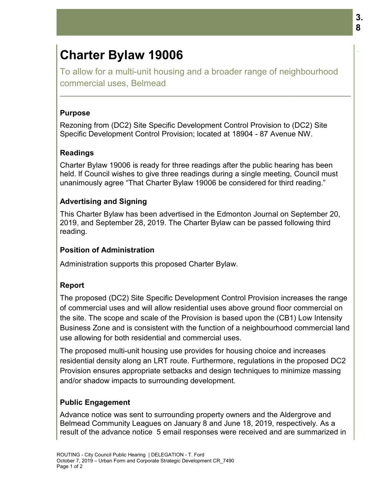# **Charter Bylaw 19006**

To allow for a multi-unit housing and a broader range of neighbourhood commercial uses, Belmead

#### **Purpose**

Rezoning from (DC2) Site Specific Development Control Provision to (DC2) Site Specific Development Control Provision; located at 18904 - 87 Avenue NW.

## **Readings**

Charter Bylaw 19006 is ready for three readings after the public hearing has been Charter Bylaw 19006 is ready for three readings after the public hearing has been<br>held. If Council wishes to give three readings during a single meeting, Council must unanimously agree "That Charter Bylaw 19006 be considered for third reading." 19006

#### **Advertising and Signing and**

This Charter Bylaw has been advertised in the Edmonton Journal on September 20, This Charter Bylaw has been advertised in the Edmonton Journal on September 2<br>2019, and September 28, 2019. The Charter Bylaw can be passed following third reading.

#### **Position of Administration of**

Administration supports this proposed Charter Bylaw.

#### **Report**

The proposed (DC2) Site Specific Development Control Provision increases the range of commercial uses and will allow residential uses above ground floor commercial on the site. The scope and scale of the Provision is based upon the (CB1) Low Intensity Business Zone and is consistent with the function of a neighbourhood commercial land use allowing for both residential and commercial uses. Charter Bylaw 19006<br>To allow for a multi-unit housing and a broader range of neighbou<br>commercial uses, Belmead<br>Purpose<br>Purpose<br>Purpose<br>Purpose<br>Purpose<br>Control Control Provision; located at 18904 - 87 Avenue NW.<br>Breeding<br>Ch Administration supports this proposed Charter Bylaw.<br> **Report**<br>
The proposed (DC2) Site Specific Development Control Provision incre<br>
of commercial uses and will allow residential uses above ground floor<br>
the site. The sco **aw 19006**<br>
Iti-unit housing and a broader range of neighbourhood<br>
Belmead<br>
2) Site Specific Development Control Provision to (DC2) Site<br>
int Control Provision; located at 18904 - 87 Avenue NW.<br>
6 is ready for three readin

The proposed multi-unit housing use provides for housing choice and increases residential density along an LRT route. Furthermore, regulations in the proposed DC2 Provision ensures appropriate setbacks and design techniques to minimize massing and/or shadow impacts to surrounding development.

## **Public Engagement**

Advance notice was sent to surrounding property owners and the Aldergrove and and/or shadow impacts to surrounding development.<br>**Public Engagement**<br>Advance notice was sent to surrounding property owners and the Aldergrove and<br>Belmead Community Leagues on January 8 and June 18, 2019, respectively. As result of the advance notice 5 email responses were received and are summarized in